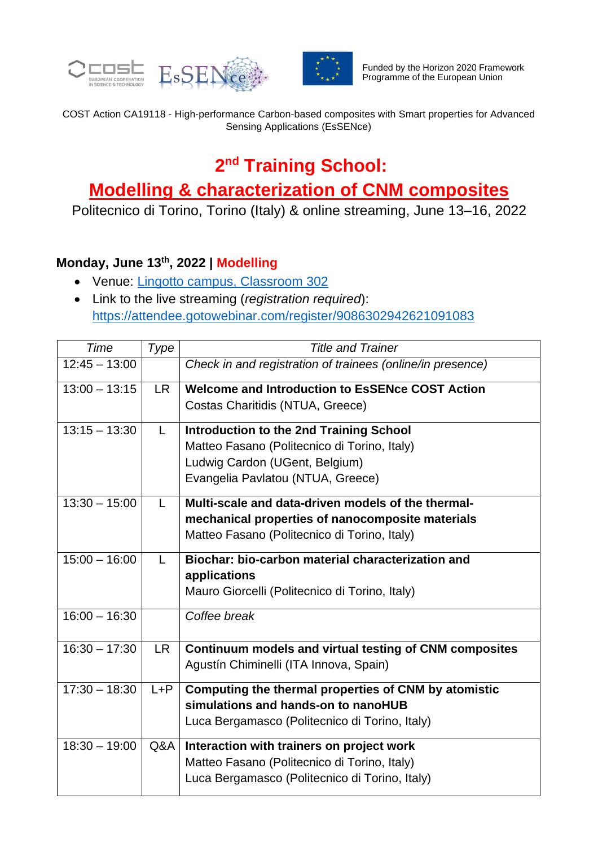



COST Action CA19118 - High-performance Carbon-based composites with Smart properties for Advanced Sensing Applications (EsSENce)

# **2 nd Training School:**

## **Modelling & characterization of CNM composites**

Politecnico di Torino, Torino (Italy) & online streaming, June 13–16, 2022

### **Monday, June 13th, 2022 | Modelling**

- Venue: [Lingotto campus, Classroom 302](https://www.polito.it/ateneo/sedi/index.php?bl_id=TO_LIN01&fl_id=XP03&rm_id=006&lang=en)
- Link to the live streaming (*registration required*): <https://attendee.gotowebinar.com/register/9086302942621091083>

| Time            | Type      | <b>Title and Trainer</b>                                   |
|-----------------|-----------|------------------------------------------------------------|
| $12:45 - 13:00$ |           | Check in and registration of trainees (online/in presence) |
| $13:00 - 13:15$ | <b>LR</b> | <b>Welcome and Introduction to EsSENce COST Action</b>     |
|                 |           | Costas Charitidis (NTUA, Greece)                           |
| $13:15 - 13:30$ | L         | <b>Introduction to the 2nd Training School</b>             |
|                 |           | Matteo Fasano (Politecnico di Torino, Italy)               |
|                 |           | Ludwig Cardon (UGent, Belgium)                             |
|                 |           | Evangelia Pavlatou (NTUA, Greece)                          |
| $13:30 - 15:00$ | L         | Multi-scale and data-driven models of the thermal-         |
|                 |           | mechanical properties of nanocomposite materials           |
|                 |           | Matteo Fasano (Politecnico di Torino, Italy)               |
| $15:00 - 16:00$ | L         | Biochar: bio-carbon material characterization and          |
|                 |           | applications                                               |
|                 |           | Mauro Giorcelli (Politecnico di Torino, Italy)             |
| $16:00 - 16:30$ |           | Coffee break                                               |
| $16:30 - 17:30$ | <b>LR</b> | Continuum models and virtual testing of CNM composites     |
|                 |           | Agustín Chiminelli (ITA Innova, Spain)                     |
| $17:30 - 18:30$ | $L + P$   | Computing the thermal properties of CNM by atomistic       |
|                 |           | simulations and hands-on to nanoHUB                        |
|                 |           | Luca Bergamasco (Politecnico di Torino, Italy)             |
| $18:30 - 19:00$ | Q&A       | Interaction with trainers on project work                  |
|                 |           | Matteo Fasano (Politecnico di Torino, Italy)               |
|                 |           | Luca Bergamasco (Politecnico di Torino, Italy)             |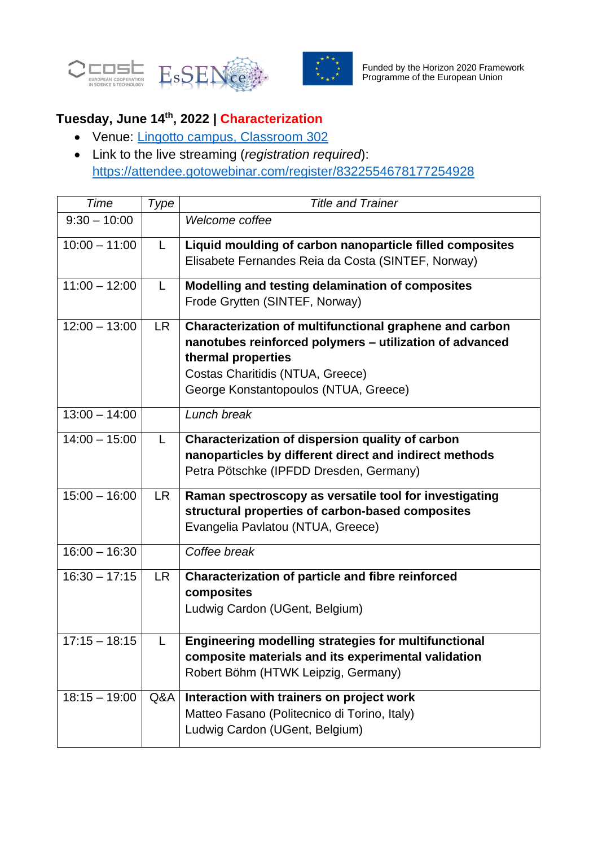



## **Tuesday, June 14th, 2022 | Characterization**

- Venue: [Lingotto campus, Classroom 302](https://www.polito.it/ateneo/sedi/index.php?bl_id=TO_LIN01&fl_id=XP03&rm_id=006&lang=en)
- Link to the live streaming (*registration required*): <https://attendee.gotowebinar.com/register/8322554678177254928>

| Time            | Type      | <b>Title and Trainer</b>                                                                                                                                                                                              |
|-----------------|-----------|-----------------------------------------------------------------------------------------------------------------------------------------------------------------------------------------------------------------------|
| $9:30 - 10:00$  |           | Welcome coffee                                                                                                                                                                                                        |
| $10:00 - 11:00$ | L.        | Liquid moulding of carbon nanoparticle filled composites<br>Elisabete Fernandes Reia da Costa (SINTEF, Norway)                                                                                                        |
| $11:00 - 12:00$ | L.        | Modelling and testing delamination of composites<br>Frode Grytten (SINTEF, Norway)                                                                                                                                    |
| $12:00 - 13:00$ | <b>LR</b> | Characterization of multifunctional graphene and carbon<br>nanotubes reinforced polymers - utilization of advanced<br>thermal properties<br>Costas Charitidis (NTUA, Greece)<br>George Konstantopoulos (NTUA, Greece) |
| $13:00 - 14:00$ |           | Lunch break                                                                                                                                                                                                           |
| $14:00 - 15:00$ | L         | Characterization of dispersion quality of carbon<br>nanoparticles by different direct and indirect methods<br>Petra Pötschke (IPFDD Dresden, Germany)                                                                 |
| $15:00 - 16:00$ | <b>LR</b> | Raman spectroscopy as versatile tool for investigating<br>structural properties of carbon-based composites<br>Evangelia Pavlatou (NTUA, Greece)                                                                       |
| $16:00 - 16:30$ |           | Coffee break                                                                                                                                                                                                          |
| $16:30 - 17:15$ | <b>LR</b> | <b>Characterization of particle and fibre reinforced</b><br>composites<br>Ludwig Cardon (UGent, Belgium)                                                                                                              |
| $17:15 - 18:15$ | L         | <b>Engineering modelling strategies for multifunctional</b><br>composite materials and its experimental validation<br>Robert Böhm (HTWK Leipzig, Germany)                                                             |
| $18:15 - 19:00$ | Q&A       | Interaction with trainers on project work<br>Matteo Fasano (Politecnico di Torino, Italy)<br>Ludwig Cardon (UGent, Belgium)                                                                                           |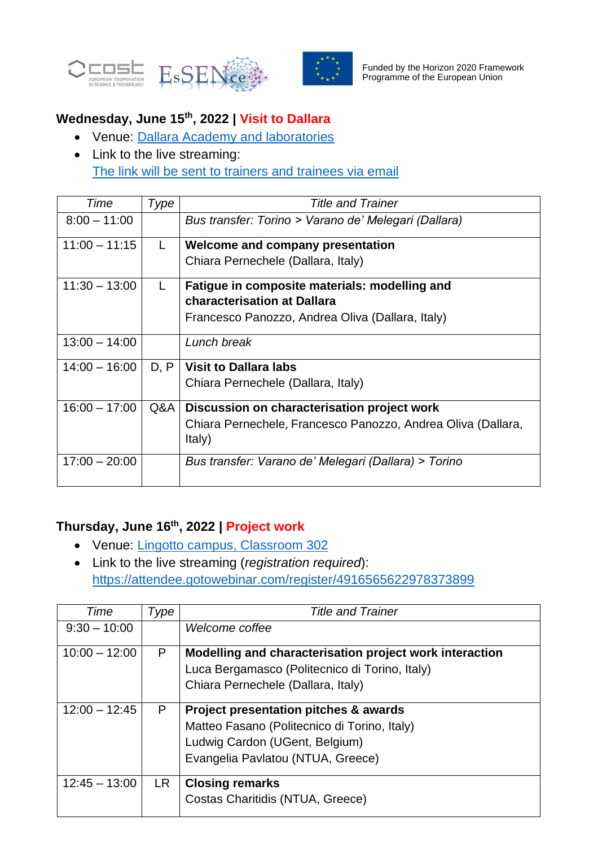



### **Wednesday, June 15th, 2022 | Visit to Dallara**

- Venue: [Dallara Academy and laboratories](https://www.dallara.it/en/academy/thebuilding)
- Link to the live streaming: The link will be sent to trainers and trainees via email

| Time            | Type | <b>Title and Trainer</b>                                               |
|-----------------|------|------------------------------------------------------------------------|
| $8:00 - 11:00$  |      | Bus transfer: Torino > Varano de' Melegari (Dallara)                   |
| $11:00 - 11:15$ | L.   | Welcome and company presentation                                       |
|                 |      | Chiara Pernechele (Dallara, Italy)                                     |
| $11:30 - 13:00$ | L    | Fatigue in composite materials: modelling and                          |
|                 |      | <b>characterisation at Dallara</b>                                     |
|                 |      | Francesco Panozzo, Andrea Oliva (Dallara, Italy)                       |
| $13:00 - 14:00$ |      | Lunch break                                                            |
| $14:00 - 16:00$ | D, P | <b>Visit to Dallara labs</b>                                           |
|                 |      | Chiara Pernechele (Dallara, Italy)                                     |
| $16:00 - 17:00$ | Q&A  | Discussion on characterisation project work                            |
|                 |      | Chiara Pernechele, Francesco Panozzo, Andrea Oliva (Dallara,<br>Italy) |
| $17:00 - 20:00$ |      | Bus transfer: Varano de' Melegari (Dallara) > Torino                   |

#### **Thursday, June 16th, 2022 | Project work**

- Venue: *Lingotto campus, Classroom 302*
- Link to the live streaming (*registration required*): <https://attendee.gotowebinar.com/register/4916565622978373899>

| Time            | Type      | <b>Title and Trainer</b>                                |
|-----------------|-----------|---------------------------------------------------------|
| $9:30 - 10:00$  |           | Welcome coffee                                          |
| $10:00 - 12:00$ | P         | Modelling and characterisation project work interaction |
|                 |           | Luca Bergamasco (Politecnico di Torino, Italy)          |
|                 |           | Chiara Pernechele (Dallara, Italy)                      |
| $12:00 - 12:45$ | P         | <b>Project presentation pitches &amp; awards</b>        |
|                 |           | Matteo Fasano (Politecnico di Torino, Italy)            |
|                 |           | Ludwig Cardon (UGent, Belgium)                          |
|                 |           | Evangelia Pavlatou (NTUA, Greece)                       |
| $12:45 - 13:00$ | <b>LR</b> | <b>Closing remarks</b>                                  |
|                 |           | Costas Charitidis (NTUA, Greece)                        |